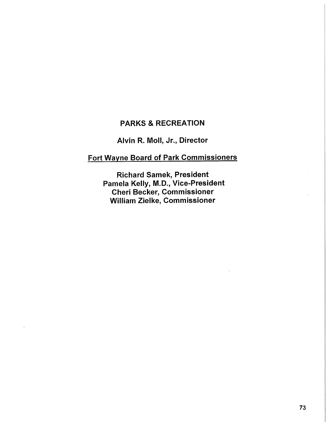## **PARKS & RECREATION**

# **Alvin R. Moll, Jr., Director**

# **Fort Wayne Board of Park Commissioners**

**Richard Samek, President Pamela Kelly, M.D., Vice-President Cheri Becker, Commissioner William Zieike, Commissioner**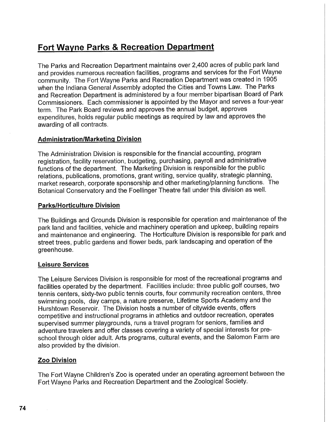# **Fort Wayne Parks & Recreation Department**

The Parks and Recreation Department maintains over 2,400 acres of public park land and provides numerous recreation facilities, programs and services for the Fort Wayne community. The Fort Wayne Parks and Recreation Department was created in 1905 when the Indiana General Assembly adopted the Cities and Towns Law. The Parks and Recreation Department is administered by a four member bipartisan Board of Park Commissioners. Each commissioner is appointed by the Mayor and serves a four-year term. The Park Board reviews and approves the annual budget, approves expenditures, holds regular public meetings as required by law and approves the awarding of all contracts.

#### **Administration/Marketing Division**

The Administration Division is responsible for the financial accounting, program registration, facility reservation, budgeting, purchasing, payroll and administrative functions of the department. The Marketing Division is responsible for the public relations, publications, promotions, grant writing, service quality, strategic planning, market research, corporate sponsorship and other marketing/planning functions. The Botanical Conservatory and the Foellinger Theatre fall under this division as well.

#### **Parks/Horticulture Division**

The Buildings and Grounds Division is responsible for operation and maintenance of the park land and facilities, vehicle and machinery operation and upkeep, building repairs and maintenance and engineering. The Horticulture Division is responsible for park and street trees, public gardens and flower beds, park landscaping and operation of the greenhouse.

#### **Leisure Services**

The Leisure Services Division is responsible for most of the recreational programs and facilities operated by the department. Facilities include: three public golf courses, two tennis centers, sixty-two public tennis courts, four community recreation centers, three swimming pools, day camps, a nature preserve, Lifetime Sports Academy and the Hurshtown Reservoir. The Division hosts a number of citywide events, offers competitive and instructional programs in athletics and outdoor recreation, operates supervised summer playgrounds, runs a travel program for seniors, families and adventure travelers and offer classes covering a variety of special interests for preschool through older adult. Arts programs, cultural events, and the Salomon Farm are also provided by the division.

#### **Zoo Division**

The Fort Wayne Children's Zoo is operated under an operating agreement between the Fort Wayne Parks and Recreation Department and the Zoological Society.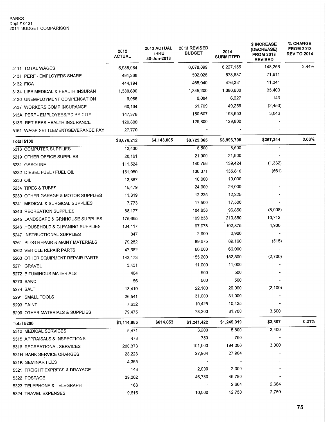### PARKS<br>Dept # 0121 2014 BUDGET COMPARISON

|                                    | 2012<br><b>ACTUAL</b> | 2013 ACTUAL<br><b>THRU</b><br>30-Jun-2013 | 2013 REVISED<br><b>BUDGET</b> | 2014<br><b>SUBMITTED</b> | \$ INCREASE<br>(DECREASE)<br><b>FROM 2013</b><br><b>REVISED</b> | % CHANGE<br><b>FROM 2013</b><br><b>REV TO 2014</b> |
|------------------------------------|-----------------------|-------------------------------------------|-------------------------------|--------------------------|-----------------------------------------------------------------|----------------------------------------------------|
| 5111 TOTAL WAGES                   | 5,988,984             |                                           | 6,078,899                     | 6,227,155                | 148,256                                                         | 2.44%                                              |
| 5131 PERF - EMPLOYERS SHARE        | 491,268               |                                           | 502,026                       | 573,637                  | 71,611                                                          |                                                    |
| 5132 FICA                          | 444,194               |                                           | 465,040                       | 476,381                  | 11,341                                                          |                                                    |
| 5134 LIFE MEDICAL & HEALTH INSURAN | 1,380,600             |                                           | 1,345,200                     | 1,380,600                | 35,400                                                          |                                                    |
| 5136 UNEMPLOYMENT COMPENSATION     | 6,085                 |                                           | 6,084                         | 6,227                    | 143                                                             |                                                    |
| 5137 WORKERS COMP INSURANCE        | 60,134                |                                           | 51,709                        | 49,256                   | (2, 453)                                                        |                                                    |
| 513A PERF - EMPLOYEES/PD BY CITY   | 147,378               |                                           | 150,607                       | 153,653                  | 3,046                                                           |                                                    |
| 513R RETIREES HEALTH INSURANCE     | 129,800               |                                           | 129,800                       | 129,800                  |                                                                 |                                                    |
| 5161 WAGE SETTLEMENT/SEVERANCE PAY | 27,770                |                                           |                               |                          |                                                                 |                                                    |
| <b>Total 5100</b>                  | \$8,676,212           | \$4,143,005                               | \$8,729,365                   | \$8,996,709              | \$267,344                                                       | 3.06%                                              |
| 5213 COMPUTER SUPPLIES             | 12,430                |                                           | 8,500                         | 8,500                    |                                                                 |                                                    |
| 5219 OTHER OFFICE SUPPLIES         | 20,161                |                                           | 21,900                        | 21,900                   |                                                                 |                                                    |
| 5231 GASOLINE                      | 111,524               |                                           | 140,756                       | 139,424                  | (1, 332)                                                        |                                                    |
| 5232 DIESEL FUEL / FUEL OIL        | 151,950               |                                           | 136,371                       | 135,810                  | (561)                                                           |                                                    |
| 5233 OIL                           | 13,887                |                                           | 10,000                        | 10,000                   |                                                                 |                                                    |
| 5234 TIRES & TUBES                 | 15,479                |                                           | 24,000                        | 24,000                   |                                                                 |                                                    |
| 5239 OTHER GARAGE & MOTOR SUPPLIES | 11,819                |                                           | 12,225                        | 12,225                   |                                                                 |                                                    |
| 5241 MEDICAL & SURGICAL SUPPLIES   | 7,773                 |                                           | 17,500                        | 17,500                   |                                                                 |                                                    |
| 5243 RECREATION SUPPLIES           | 88,177                |                                           | 104,858                       | 96,850                   | (8,008)                                                         |                                                    |
| 5245 LANDSCAPE & GRNHOUSE SUPPLIES | 175,655               |                                           | 199,838                       | 210,550                  | 10,712                                                          |                                                    |
| 5246 HOUSEHOLD & CLEANING SUPPLIES | 104,117               |                                           | 97,975                        | 102,875                  | 4,900                                                           |                                                    |
| 5247 INSTRUCTIONAL SUPPLIES        | 847                   |                                           | 2,900                         | 2,900                    |                                                                 |                                                    |
| 5261 BLDG REPAIR & MAINT MATERIALS | 79,252                |                                           | 89,675                        | 89,160                   | (515)                                                           |                                                    |
| 5262 VEHICLE REPAIR PARTS          | 47,682                |                                           | 66,000                        | 66,000                   |                                                                 |                                                    |
| 5263 OTHER EQUIPMENT REPAIR PARTS  | 143,173               |                                           | 155,200                       | 152,500                  | (2,700)                                                         |                                                    |
| 5271 GRAVEL                        | 3,431                 |                                           | 11,000                        | 11,000                   |                                                                 |                                                    |
| 5272 BITUMINOUS MATERIALS          | 404                   |                                           | 500                           | 500                      |                                                                 |                                                    |
| 5273 SAND                          | 56                    |                                           | 500                           | 500                      |                                                                 |                                                    |
| 5274 SALT                          | 13,419                |                                           | 22,100                        | 20,000                   | (2,100)                                                         |                                                    |
| 5291 SMALL TOOLS                   | 26,541                |                                           | 31,000                        | 31,000                   |                                                                 |                                                    |
| 5293 PAINT                         | 7,632                 |                                           | 10,425                        | 10,425                   |                                                                 |                                                    |
| 5299 OTHER MATERIALS & SUPPLIES    | 79,475                |                                           | 78,200                        | 81,700                   | 3,500                                                           |                                                    |
| Total 5200                         | \$1,114,885           | \$614,053                                 | \$1,241,422                   | \$1,245,319              | \$3,897                                                         | 0.31%                                              |
| 5312 MEDICAL SERVICES              | 5,471                 |                                           | 3,200                         | 5,600                    | 2,400                                                           |                                                    |
| 5315 APPRAISALS & INSPECTIONS      | 473                   |                                           | 750                           | 750                      |                                                                 |                                                    |
| 5316 RECREATIONAL SERVICES         | 206,373               |                                           | 191,000                       | 194,000                  | 3,000                                                           |                                                    |
| 531H BANK SERVICE CHARGES          | 28,223                |                                           | 27,904                        | 27,904                   |                                                                 |                                                    |
| 531K SEMINAR FEES                  | 4,365                 |                                           |                               |                          |                                                                 |                                                    |
| 5321 FREIGHT EXPRESS & DRAYAGE     | 143                   |                                           | 2,000                         | 2,000                    |                                                                 |                                                    |
| 5322 POSTAGE                       | 39,202                |                                           | 46,780                        | 46,780                   |                                                                 |                                                    |
| 5323 TELEPHONE & TELEGRAPH         | 163                   |                                           |                               | 2,664                    | 2,664                                                           |                                                    |
| 5324 TRAVEL EXPENSES               | 9,616                 |                                           | 10,000                        | 12,750                   | 2,750                                                           |                                                    |